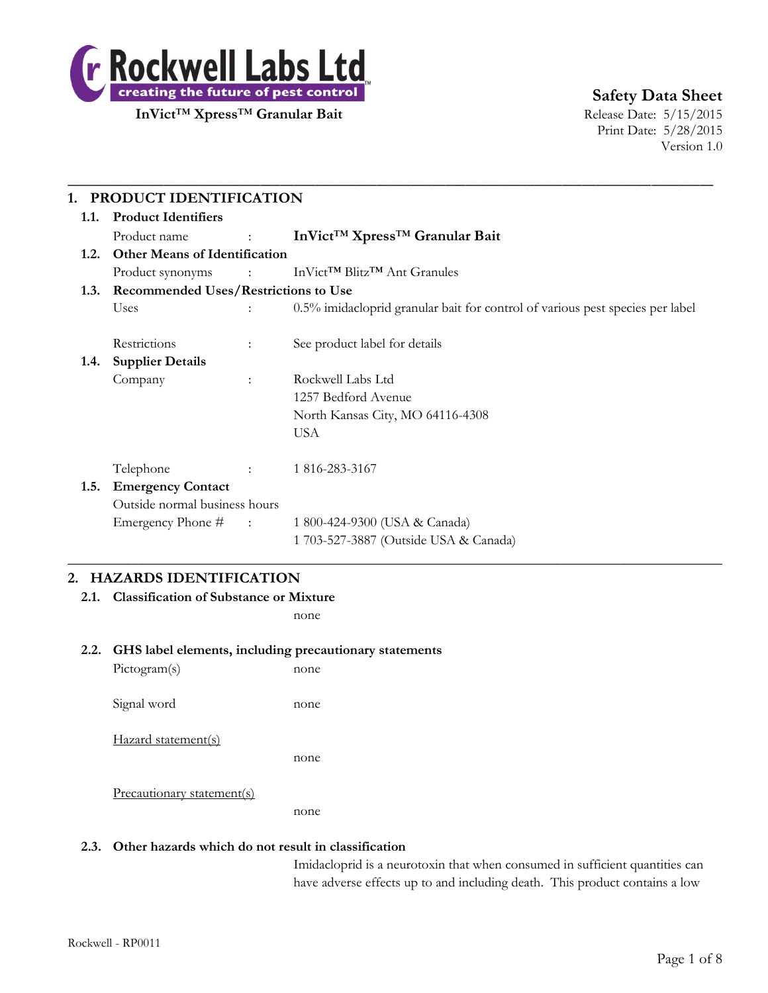

# **Safety Data Sheet**

Print Date: 5/28/2015 Version 1.0

| 1.1. | <b>Product Identifiers</b>           |                                           |                                                                               |  |  |  |
|------|--------------------------------------|-------------------------------------------|-------------------------------------------------------------------------------|--|--|--|
|      | Product name                         | <b>Contract Contract</b>                  | InVict <sup>™</sup> Xpress <sup>™</sup> Granular Bait                         |  |  |  |
| 1.2. | <b>Other Means of Identification</b> |                                           |                                                                               |  |  |  |
|      |                                      |                                           | Product synonyms : InVict™ Blitz™ Ant Granules                                |  |  |  |
|      |                                      | 1.3. Recommended Uses/Restrictions to Use |                                                                               |  |  |  |
|      | Uses                                 |                                           | 0.5% imidacloprid granular bait for control of various pest species per label |  |  |  |
|      | Restrictions                         | $\ddot{\cdot}$                            | See product label for details                                                 |  |  |  |
| 1.4. | <b>Supplier Details</b>              |                                           |                                                                               |  |  |  |
|      | Company                              | $\mathbb{R}^{\mathbb{Z}}$                 | Rockwell Labs Ltd                                                             |  |  |  |
|      |                                      |                                           | 1257 Bedford Avenue                                                           |  |  |  |
|      |                                      |                                           | North Kansas City, MO 64116-4308                                              |  |  |  |
|      |                                      |                                           | <b>USA</b>                                                                    |  |  |  |
|      | Telephone                            | $\Delta \sim 100$ km s $^{-1}$            | 1 816-283-3167                                                                |  |  |  |
| 1.5. | <b>Emergency Contact</b>             |                                           |                                                                               |  |  |  |
|      | Outside normal business hours        |                                           |                                                                               |  |  |  |
|      | Emergency Phone # :                  |                                           | 1 800-424-9300 (USA & Canada)                                                 |  |  |  |
|      |                                      |                                           | 1 703-527-3887 (Outside USA & Canada)                                         |  |  |  |

# **2. HAZARDS IDENTIFICATION**

**2.1. Classification of Substance or Mixture**

none

#### **2.2. GHS label elements, including precautionary statements**

Pictogram(s) none Signal word none Hazard statement(s) none Precautionary statement(s) none

#### **2.3. Other hazards which do not result in classification**

Imidacloprid is a neurotoxin that when consumed in sufficient quantities can have adverse effects up to and including death. This product contains a low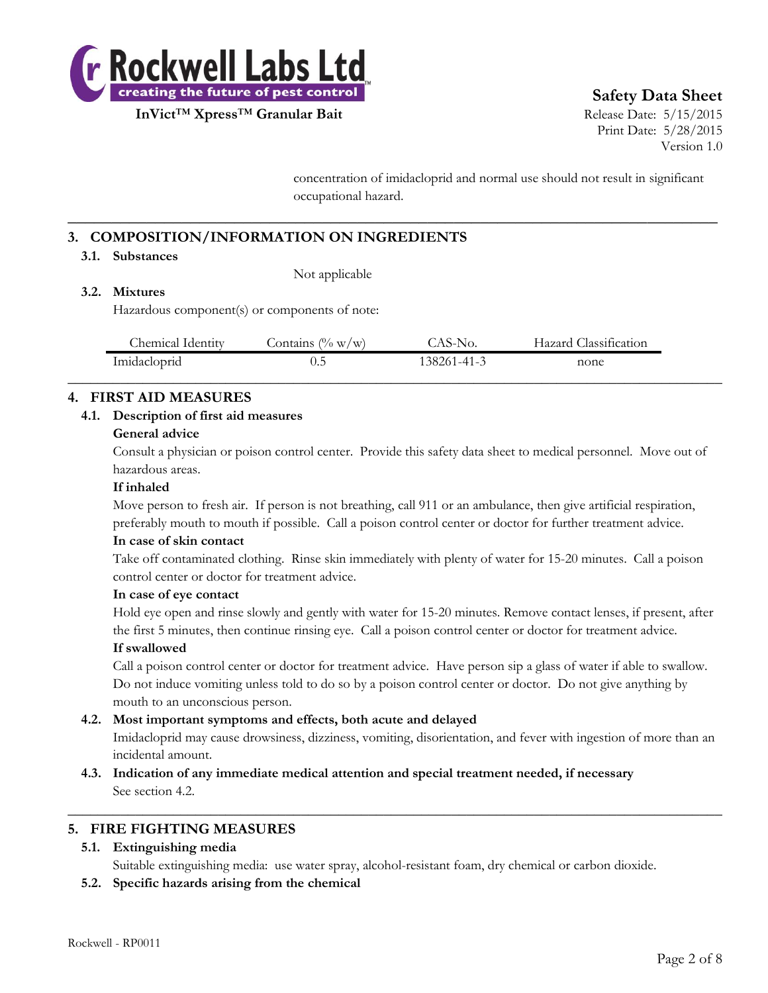

# **Safety Data Sheet**

Print Date: 5/28/2015 Version 1.0

concentration of imidacloprid and normal use should not result in significant occupational hazard.

# **3. COMPOSITION/INFORMATION ON INGREDIENTS**

#### **3.1. Substances**

Not applicable

#### **3.2. Mixtures**

Hazardous component(s) or components of note:

| Chemical Identity | $(\% w/w)$<br>Contains / | $\triangle A$ $\triangleright$ -"<br>NO. | Classification<br>Hazard |  |
|-------------------|--------------------------|------------------------------------------|--------------------------|--|
| Imidacloprid      | U.J                      | 138261-41-3                              | none                     |  |
|                   |                          |                                          |                          |  |

**\_\_\_\_\_\_\_\_\_\_\_\_\_\_\_\_\_\_\_\_\_\_\_\_\_\_\_\_\_\_\_\_\_\_\_\_\_\_\_\_\_\_\_\_\_\_\_\_\_\_\_\_\_\_\_\_\_\_\_\_\_\_\_\_\_\_\_\_\_\_\_\_\_\_**

## **4. FIRST AID MEASURES**

#### **4.1. Description of first aid measures**

#### **General advice**

Consult a physician or poison control center. Provide this safety data sheet to medical personnel. Move out of hazardous areas.

#### **If inhaled**

Move person to fresh air. If person is not breathing, call 911 or an ambulance, then give artificial respiration, preferably mouth to mouth if possible. Call a poison control center or doctor for further treatment advice.

#### **In case of skin contact**

Take off contaminated clothing. Rinse skin immediately with plenty of water for 15-20 minutes. Call a poison control center or doctor for treatment advice.

#### **In case of eye contact**

Hold eye open and rinse slowly and gently with water for 15-20 minutes. Remove contact lenses, if present, after the first 5 minutes, then continue rinsing eye. Call a poison control center or doctor for treatment advice.

#### **If swallowed**

Call a poison control center or doctor for treatment advice. Have person sip a glass of water if able to swallow. Do not induce vomiting unless told to do so by a poison control center or doctor. Do not give anything by mouth to an unconscious person.

#### **4.2. Most important symptoms and effects, both acute and delayed**

Imidacloprid may cause drowsiness, dizziness, vomiting, disorientation, and fever with ingestion of more than an incidental amount.

**4.3. Indication of any immediate medical attention and special treatment needed, if necessary** See section 4.2.

#### **5. FIRE FIGHTING MEASURES**

#### **5.1. Extinguishing media**

Suitable extinguishing media: use water spray, alcohol-resistant foam, dry chemical or carbon dioxide.

 $\_$  , and the set of the set of the set of the set of the set of the set of the set of the set of the set of the set of the set of the set of the set of the set of the set of the set of the set of the set of the set of th

**5.2. Specific hazards arising from the chemical**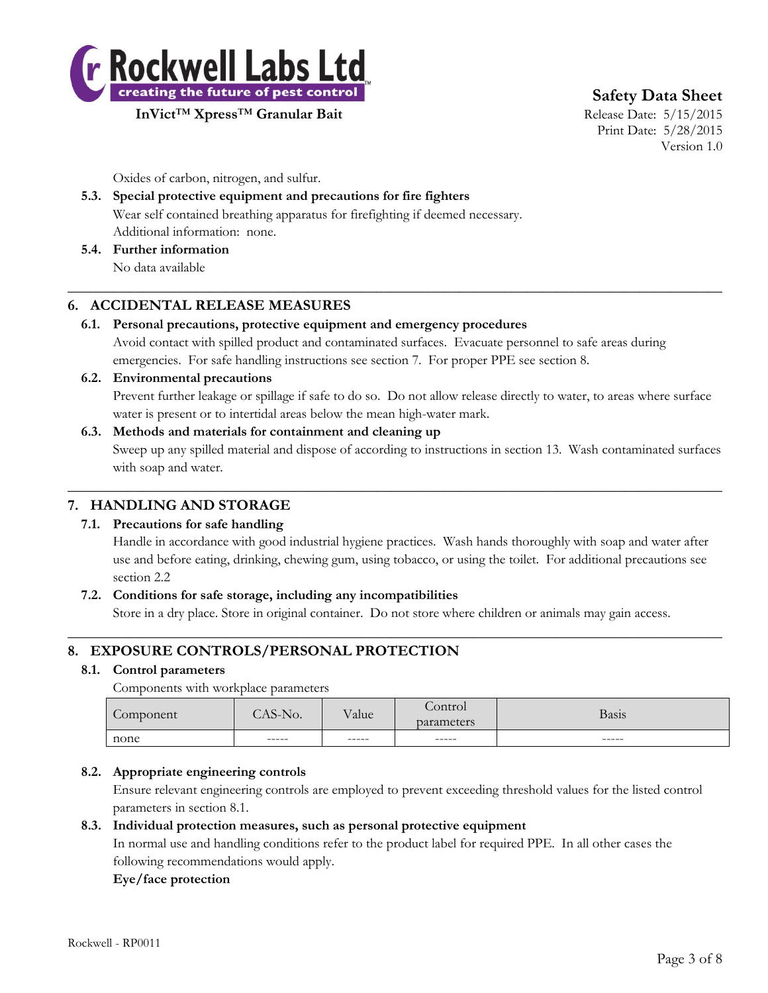

**Safety Data Sheet**

Print Date: 5/28/2015 Version 1.0

Oxides of carbon, nitrogen, and sulfur.

# **5.3. Special protective equipment and precautions for fire fighters** Wear self contained breathing apparatus for firefighting if deemed necessary. Additional information: none.

**5.4. Further information** No data available

# **6. ACCIDENTAL RELEASE MEASURES**

## **6.1. Personal precautions, protective equipment and emergency procedures**

Avoid contact with spilled product and contaminated surfaces. Evacuate personnel to safe areas during emergencies. For safe handling instructions see section 7. For proper PPE see section 8.

 $\_$  , and the set of the set of the set of the set of the set of the set of the set of the set of the set of the set of the set of the set of the set of the set of the set of the set of the set of the set of the set of th

# **6.2. Environmental precautions** Prevent further leakage or spillage if safe to do so. Do not allow release directly to water, to areas where surface water is present or to intertidal areas below the mean high-water mark.

## **6.3. Methods and materials for containment and cleaning up** Sweep up any spilled material and dispose of according to instructions in section 13. Wash contaminated surfaces with soap and water.

 $\_$  , and the set of the set of the set of the set of the set of the set of the set of the set of the set of the set of the set of the set of the set of the set of the set of the set of the set of the set of the set of th

# **7. HANDLING AND STORAGE**

# **7.1. Precautions for safe handling**

Handle in accordance with good industrial hygiene practices. Wash hands thoroughly with soap and water after use and before eating, drinking, chewing gum, using tobacco, or using the toilet. For additional precautions see section 2.2

# **7.2. Conditions for safe storage, including any incompatibilities**

Store in a dry place. Store in original container. Do not store where children or animals may gain access.  $\_$  , and the set of the set of the set of the set of the set of the set of the set of the set of the set of the set of the set of the set of the set of the set of the set of the set of the set of the set of the set of th

# **8. EXPOSURE CONTROLS/PERSONAL PROTECTION**

#### **8.1. Control parameters**

Components with workplace parameters

| omponent | $\sim$<br>NO. | T<br>v alue | $\sqrt{2}$<br>$\cap$ ntr $\cap$<br>parameters | Basis  |
|----------|---------------|-------------|-----------------------------------------------|--------|
| none     | $-----$       | ------      | ------                                        | ------ |
|          |               |             |                                               |        |

# **8.2. Appropriate engineering controls**

Ensure relevant engineering controls are employed to prevent exceeding threshold values for the listed control parameters in section 8.1.

#### **8.3. Individual protection measures, such as personal protective equipment**

In normal use and handling conditions refer to the product label for required PPE. In all other cases the following recommendations would apply.

#### **Eye/face protection**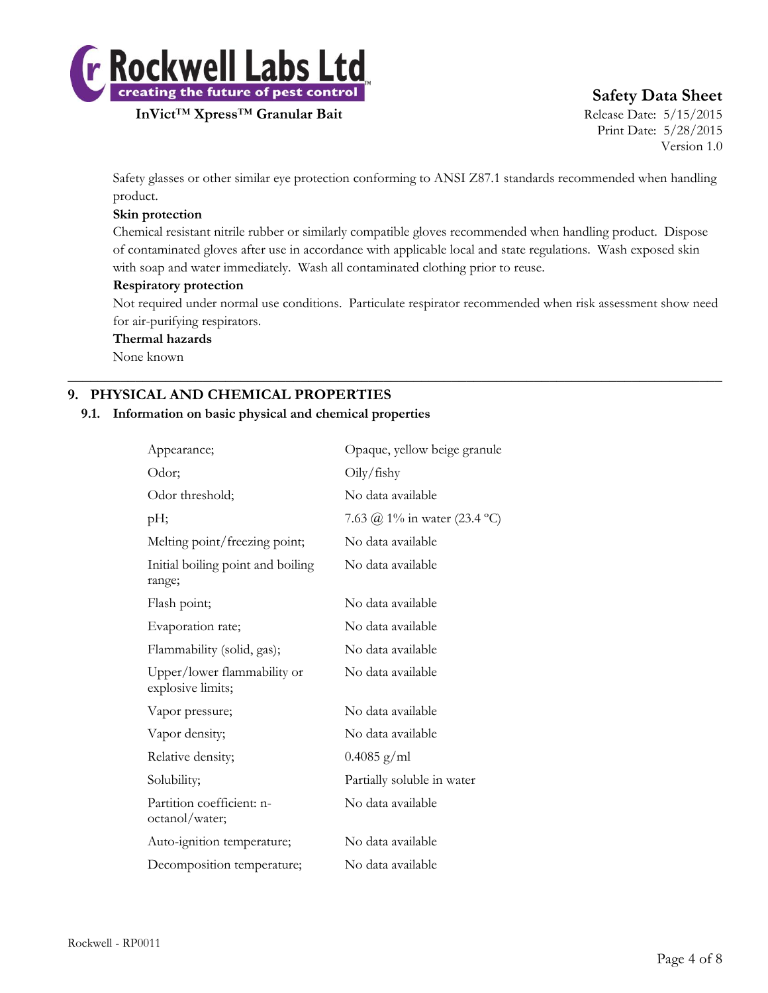

**InVict<sup>™</sup> Xpress<sup>™</sup> Granular Bait** Release Date: 5/15/2015

# **Safety Data Sheet**

Print Date: 5/28/2015 Version 1.0

Safety glasses or other similar eye protection conforming to ANSI Z87.1 standards recommended when handling product.

#### **Skin protection**

Chemical resistant nitrile rubber or similarly compatible gloves recommended when handling product. Dispose of contaminated gloves after use in accordance with applicable local and state regulations. Wash exposed skin with soap and water immediately. Wash all contaminated clothing prior to reuse.

#### **Respiratory protection**

Not required under normal use conditions. Particulate respirator recommended when risk assessment show need for air-purifying respirators.

 $\_$  , and the set of the set of the set of the set of the set of the set of the set of the set of the set of the set of the set of the set of the set of the set of the set of the set of the set of the set of the set of th

#### **Thermal hazards**

None known

# **9. PHYSICAL AND CHEMICAL PROPERTIES**

#### **9.1. Information on basic physical and chemical properties**

| Appearance;                                      | Opaque, yellow beige granule |
|--------------------------------------------------|------------------------------|
| Odor;                                            | Oily/fishy                   |
| Odor threshold;                                  | No data available            |
| pH;                                              | 7.63 @ 1% in water (23.4 °C) |
| Melting point/freezing point;                    | No data available            |
| Initial boiling point and boiling<br>range;      | No data available            |
| Flash point;                                     | No data available            |
| Evaporation rate;                                | No data available            |
| Flammability (solid, gas);                       | No data available            |
| Upper/lower flammability or<br>explosive limits; | No data available            |
| Vapor pressure;                                  | No data available            |
| Vapor density;                                   | No data available            |
| Relative density;                                | $0.4085$ g/ml                |
| Solubility;                                      | Partially soluble in water   |
| Partition coefficient: n-<br>octanol/water;      | No data available            |
| Auto-ignition temperature;                       | No data available            |
| Decomposition temperature;                       | No data available            |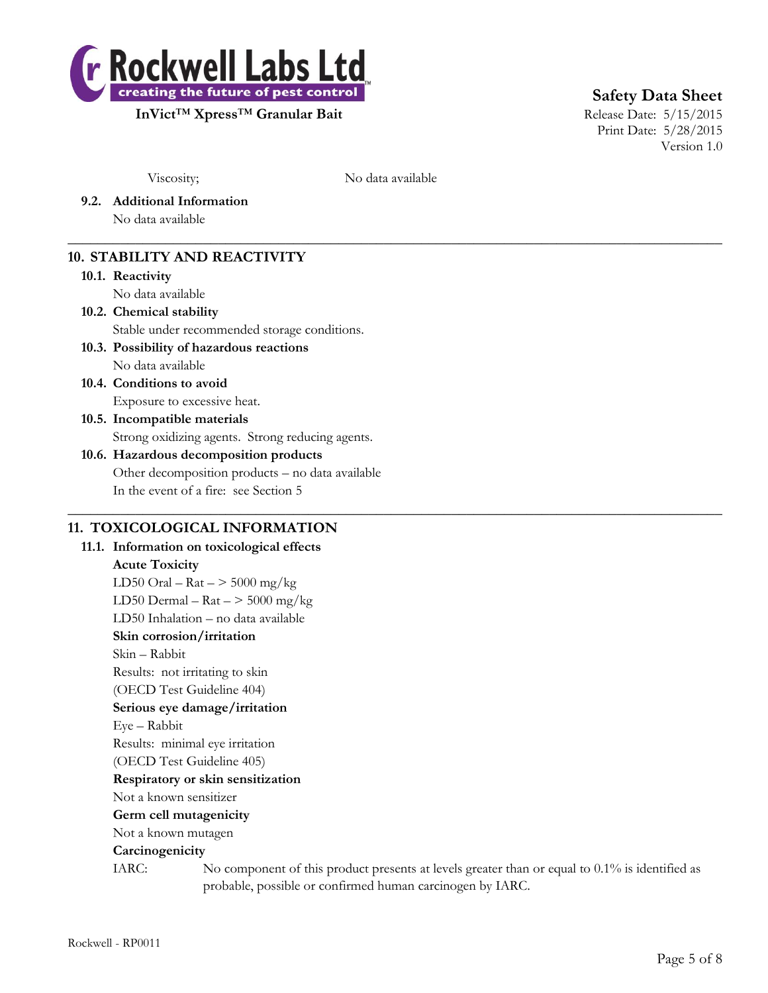

**Safety Data Sheet**

Print Date: 5/28/2015 Version 1.0

Viscosity; No data available

 $\_$  , and the set of the set of the set of the set of the set of the set of the set of the set of the set of the set of the set of the set of the set of the set of the set of the set of the set of the set of the set of th

 $\_$  , and the set of the set of the set of the set of the set of the set of the set of the set of the set of the set of the set of the set of the set of the set of the set of the set of the set of the set of the set of th

**9.2. Additional Information**

No data available

# **10. STABILITY AND REACTIVITY**

#### **10.1. Reactivity**

No data available

# **10.2. Chemical stability**

Stable under recommended storage conditions.

# **10.3. Possibility of hazardous reactions**

No data available

**10.4. Conditions to avoid** Exposure to excessive heat.

# **10.5. Incompatible materials** Strong oxidizing agents. Strong reducing agents.

# **10.6. Hazardous decomposition products** Other decomposition products – no data available In the event of a fire: see Section 5

# **11. TOXICOLOGICAL INFORMATION**

**11.1. Information on toxicological effects Acute Toxicity** LD50 Oral –  $\text{Rat}$  –  $>$  5000 mg/kg LD50 Dermal –  $\text{Rat}$  –  $>$  5000 mg/kg LD50 Inhalation – no data available **Skin corrosion/irritation** Skin – Rabbit Results: not irritating to skin (OECD Test Guideline 404) **Serious eye damage/irritation** Eye – Rabbit Results: minimal eye irritation (OECD Test Guideline 405) **Respiratory or skin sensitization** Not a known sensitizer **Germ cell mutagenicity** Not a known mutagen **Carcinogenicity** IARC: No component of this product presents at levels greater than or equal to 0.1% is identified as probable, possible or confirmed human carcinogen by IARC.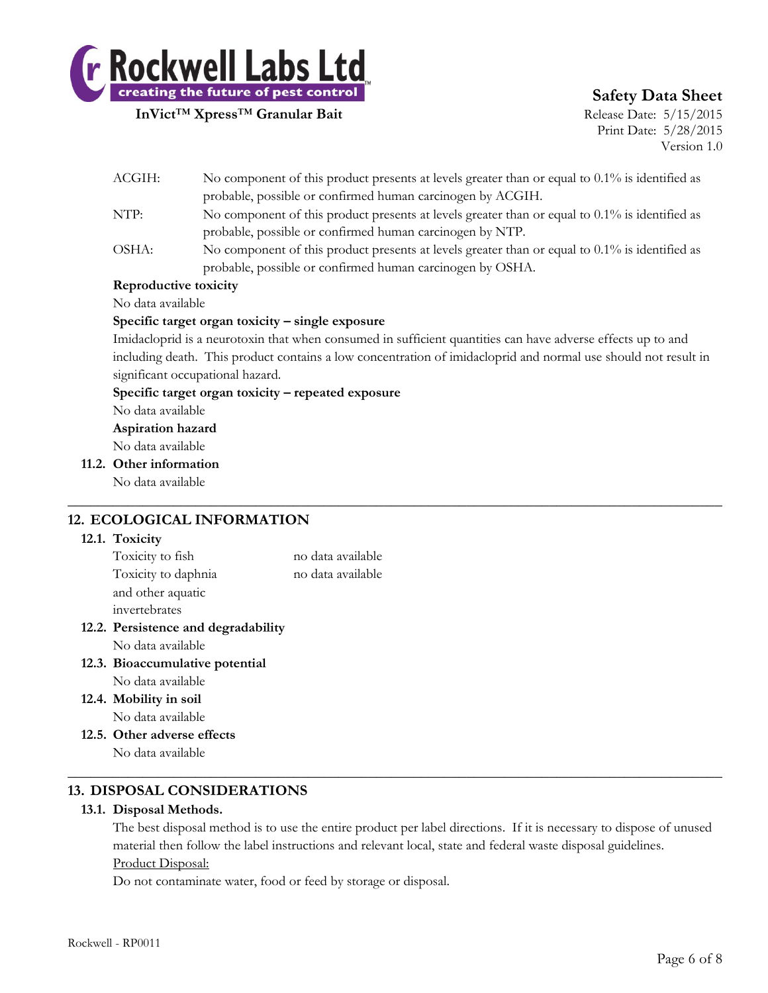

# **Safety Data Sheet**

Print Date: 5/28/2015 Version 1.0

|  |                                                                                                                | probable, possible or confirmed human carcinogen by ACGIH.                                     |  |  |
|--|----------------------------------------------------------------------------------------------------------------|------------------------------------------------------------------------------------------------|--|--|
|  | NTP:                                                                                                           | No component of this product presents at levels greater than or equal to 0.1% is identified as |  |  |
|  |                                                                                                                | probable, possible or confirmed human carcinogen by NTP.                                       |  |  |
|  | OSHA:                                                                                                          | No component of this product presents at levels greater than or equal to 0.1% is identified as |  |  |
|  |                                                                                                                | probable, possible or confirmed human carcinogen by OSHA.                                      |  |  |
|  | Reproductive toxicity                                                                                          |                                                                                                |  |  |
|  | No data available                                                                                              |                                                                                                |  |  |
|  | Specific target organ toxicity - single exposure                                                               |                                                                                                |  |  |
|  | Imidacloprid is a neurotoxin that when consumed in sufficient quantities can have adverse effects up to and    |                                                                                                |  |  |
|  | including death. This product contains a low concentration of imidacloprid and normal use should not result in |                                                                                                |  |  |
|  |                                                                                                                | significant occupational hazard.                                                               |  |  |
|  |                                                                                                                | Specific target organ toxicity – repeated exposure                                             |  |  |
|  | No data available                                                                                              |                                                                                                |  |  |
|  | Aspiration hazard                                                                                              |                                                                                                |  |  |
|  | No data available                                                                                              |                                                                                                |  |  |
|  | 11.2. Other information                                                                                        |                                                                                                |  |  |
|  | No data available                                                                                              |                                                                                                |  |  |
|  |                                                                                                                |                                                                                                |  |  |
|  |                                                                                                                | 12. ECOLOGICAL INFORMATION                                                                     |  |  |

ACGIH: No component of this product presents at levels greater than or equal to 0.1% is identified as

#### **12.1. Toxicity**

| Toxicity to fish                | no data available |
|---------------------------------|-------------------|
| Toxicity to daphnia             | no data available |
| and other aquatic               |                   |
| invertebrates                   |                   |
| $\mathbf{D}_{\text{condition}}$ |                   |

- **12.2. Persistence and degradability** No data available
- **12.3. Bioaccumulative potential**
	- No data available
- **12.4. Mobility in soil** No data available
- **12.5. Other adverse effects** No data available

# **13. DISPOSAL CONSIDERATIONS**

#### **13.1. Disposal Methods.**

The best disposal method is to use the entire product per label directions. If it is necessary to dispose of unused material then follow the label instructions and relevant local, state and federal waste disposal guidelines. Product Disposal:

 $\_$  , and the set of the set of the set of the set of the set of the set of the set of the set of the set of the set of the set of the set of the set of the set of the set of the set of the set of the set of the set of th

Do not contaminate water, food or feed by storage or disposal.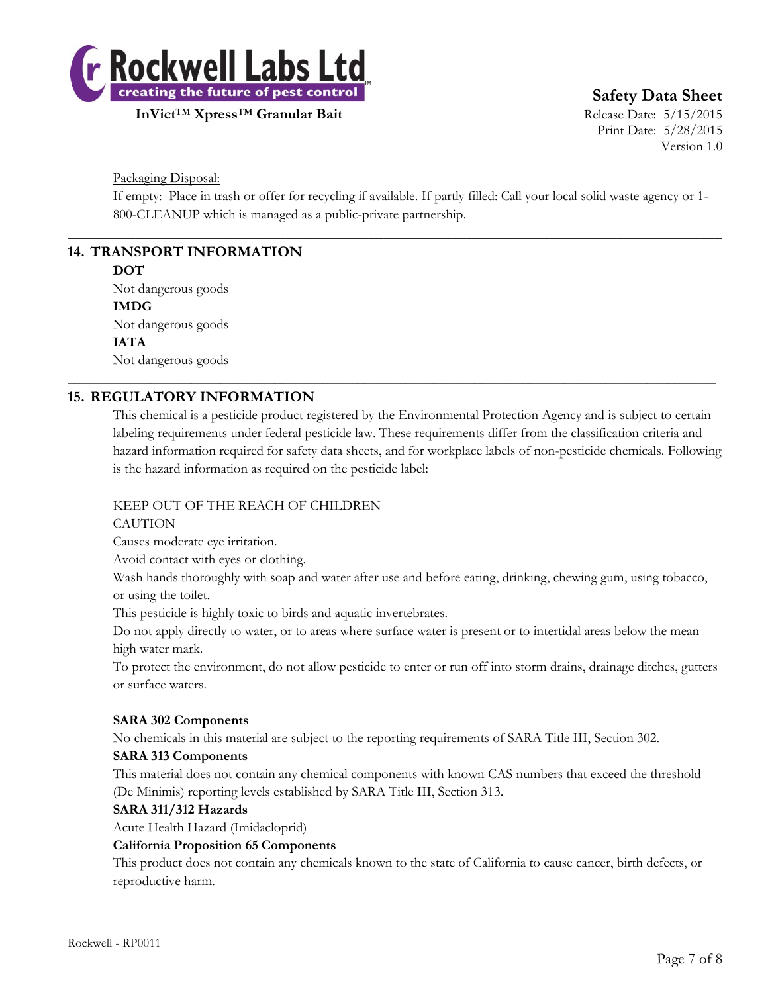

**InVict<sup>™</sup> Xpress<sup>™</sup> Granular Bait** Release Date: 5/15/2015

**Safety Data Sheet**

Print Date: 5/28/2015 Version 1.0

Packaging Disposal:

If empty: Place in trash or offer for recycling if available. If partly filled: Call your local solid waste agency or 1- 800-CLEANUP which is managed as a public-private partnership.

 $\_$  , and the set of the set of the set of the set of the set of the set of the set of the set of the set of the set of the set of the set of the set of the set of the set of the set of the set of the set of the set of th

\_\_\_\_\_\_\_\_\_\_\_\_\_\_\_\_\_\_\_\_\_\_\_\_\_\_\_\_\_\_\_\_\_\_\_\_\_\_\_\_\_\_\_\_\_\_\_\_\_\_\_\_\_\_\_\_\_\_\_\_\_\_\_\_\_\_\_\_\_\_\_\_\_\_\_\_\_\_\_\_\_\_\_\_\_\_\_\_\_\_\_\_\_\_

# **14. TRANSPORT INFORMATION**

#### **DOT**

Not dangerous goods **IMDG** Not dangerous goods **IATA** Not dangerous goods

# **15. REGULATORY INFORMATION**

This chemical is a pesticide product registered by the Environmental Protection Agency and is subject to certain labeling requirements under federal pesticide law. These requirements differ from the classification criteria and hazard information required for safety data sheets, and for workplace labels of non-pesticide chemicals. Following is the hazard information as required on the pesticide label:

#### KEEP OUT OF THE REACH OF CHILDREN

#### **CAUTION**

Causes moderate eye irritation.

Avoid contact with eyes or clothing.

Wash hands thoroughly with soap and water after use and before eating, drinking, chewing gum, using tobacco, or using the toilet.

This pesticide is highly toxic to birds and aquatic invertebrates.

Do not apply directly to water, or to areas where surface water is present or to intertidal areas below the mean high water mark.

To protect the environment, do not allow pesticide to enter or run off into storm drains, drainage ditches, gutters or surface waters.

#### **SARA 302 Components**

No chemicals in this material are subject to the reporting requirements of SARA Title III, Section 302.

#### **SARA 313 Components**

This material does not contain any chemical components with known CAS numbers that exceed the threshold (De Minimis) reporting levels established by SARA Title III, Section 313.

#### **SARA 311/312 Hazards**

Acute Health Hazard (Imidacloprid)

#### **California Proposition 65 Components**

This product does not contain any chemicals known to the state of California to cause cancer, birth defects, or reproductive harm.